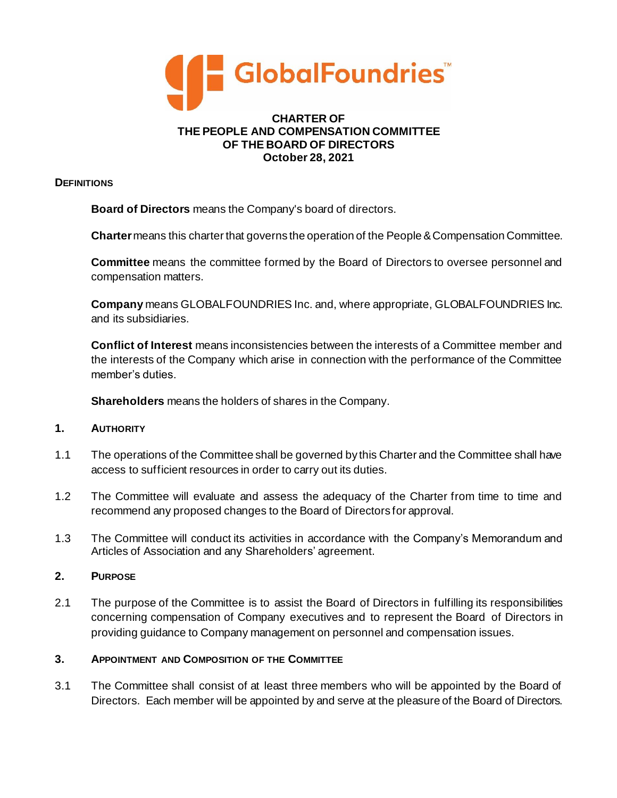

#### **CHARTER OF THE PEOPLE AND COMPENSATION COMMITTEE OF THE BOARD OF DIRECTORS October 28, 2021**

### **DEFINITIONS**

**Board of Directors** means the Company's board of directors.

**Charter**means this charter that governs the operation of the People & Compensation Committee.

**Committee** means the committee formed by the Board of Directors to oversee personnel and compensation matters.

**Company** means GLOBALFOUNDRIES Inc. and, where appropriate, GLOBALFOUNDRIES Inc. and its subsidiaries.

**Conflict of Interest** means inconsistencies between the interests of a Committee member and the interests of the Company which arise in connection with the performance of the Committee member's duties.

**Shareholders** means the holders of shares in the Company.

## **1. AUTHORITY**

- 1.1 The operations of the Committee shall be governed by this Charter and the Committee shall have access to sufficient resources in order to carry out its duties.
- 1.2 The Committee will evaluate and assess the adequacy of the Charter from time to time and recommend any proposed changes to the Board of Directors for approval.
- 1.3 The Committee will conduct its activities in accordance with the Company's Memorandum and Articles of Association and any Shareholders' agreement.

## **2. PURPOSE**

2.1 The purpose of the Committee is to assist the Board of Directors in fulfilling its responsibilities concerning compensation of Company executives and to represent the Board of Directors in providing guidance to Company management on personnel and compensation issues.

## **3. APPOINTMENT AND COMPOSITION OF THE COMMITTEE**

3.1 The Committee shall consist of at least three members who will be appointed by the Board of Directors. Each member will be appointed by and serve at the pleasure of the Board of Directors.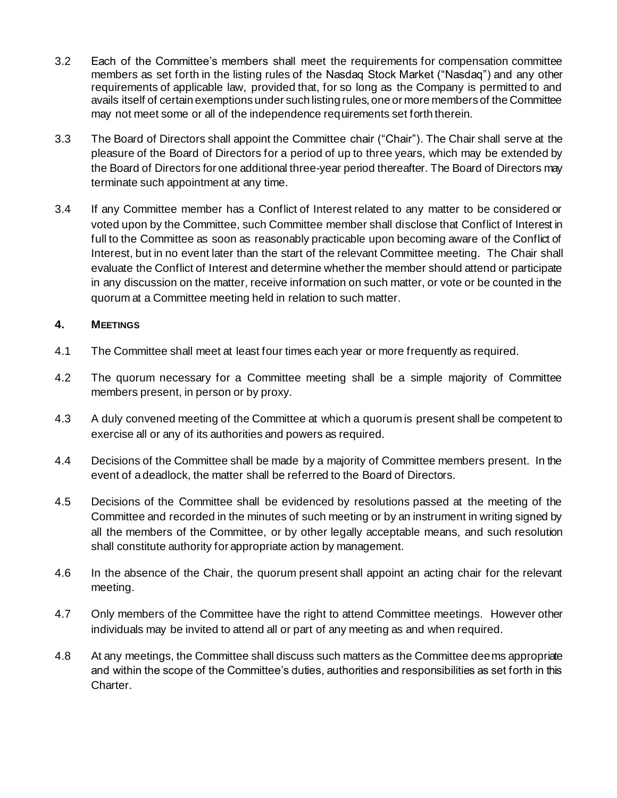- 3.2 Each of the Committee's members shall meet the requirements for compensation committee members as set forth in the listing rules of the Nasdaq Stock Market ("Nasdaq") and any other requirements of applicable law, provided that, for so long as the Company is permitted to and avails itself of certain exemptions under such listing rules, one or more members of the Committee may not meet some or all of the independence requirements set forth therein.
- 3.3 The Board of Directors shall appoint the Committee chair ("Chair"). The Chair shall serve at the pleasure of the Board of Directors for a period of up to three years, which may be extended by the Board of Directors for one additional three-year period thereafter. The Board of Directors may terminate such appointment at any time.
- 3.4 If any Committee member has a Conflict of Interest related to any matter to be considered or voted upon by the Committee, such Committee member shall disclose that Conflict of Interest in full to the Committee as soon as reasonably practicable upon becoming aware of the Conflict of Interest, but in no event later than the start of the relevant Committee meeting. The Chair shall evaluate the Conflict of Interest and determine whether the member should attend or participate in any discussion on the matter, receive information on such matter, or vote or be counted in the quorum at a Committee meeting held in relation to such matter.

# **4. MEETINGS**

- 4.1 The Committee shall meet at least four times each year or more frequently as required.
- 4.2 The quorum necessary for a Committee meeting shall be a simple majority of Committee members present, in person or by proxy.
- 4.3 A duly convened meeting of the Committee at which a quorum is present shall be competent to exercise all or any of its authorities and powers as required.
- 4.4 Decisions of the Committee shall be made by a majority of Committee members present. In the event of a deadlock, the matter shall be referred to the Board of Directors.
- 4.5 Decisions of the Committee shall be evidenced by resolutions passed at the meeting of the Committee and recorded in the minutes of such meeting or by an instrument in writing signed by all the members of the Committee, or by other legally acceptable means, and such resolution shall constitute authority for appropriate action by management.
- 4.6 In the absence of the Chair, the quorum present shall appoint an acting chair for the relevant meeting.
- 4.7 Only members of the Committee have the right to attend Committee meetings. However other individuals may be invited to attend all or part of any meeting as and when required.
- 4.8 At any meetings, the Committee shall discuss such matters as the Committee deems appropriate and within the scope of the Committee's duties, authorities and responsibilities as set forth in this Charter.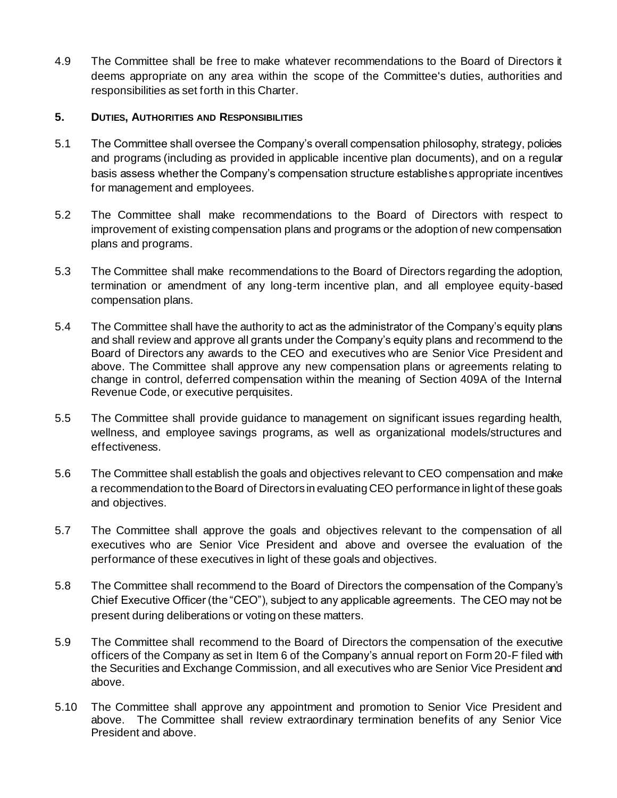4.9 The Committee shall be free to make whatever recommendations to the Board of Directors it deems appropriate on any area within the scope of the Committee's duties, authorities and responsibilities as set forth in this Charter.

# **5. DUTIES, AUTHORITIES AND RESPONSIBILITIES**

- 5.1 The Committee shall oversee the Company's overall compensation philosophy, strategy, policies and programs (including as provided in applicable incentive plan documents), and on a regular basis assess whether the Company's compensation structure establishes appropriate incentives for management and employees.
- 5.2 The Committee shall make recommendations to the Board of Directors with respect to improvement of existing compensation plans and programs or the adoption of new compensation plans and programs.
- 5.3 The Committee shall make recommendations to the Board of Directors regarding the adoption, termination or amendment of any long-term incentive plan, and all employee equity-based compensation plans.
- 5.4 The Committee shall have the authority to act as the administrator of the Company's equity plans and shall review and approve all grants under the Company's equity plans and recommend to the Board of Directors any awards to the CEO and executives who are Senior Vice President and above. The Committee shall approve any new compensation plans or agreements relating to change in control, deferred compensation within the meaning of Section 409A of the Internal Revenue Code, or executive perquisites.
- 5.5 The Committee shall provide guidance to management on significant issues regarding health, wellness, and employee savings programs, as well as organizational models/structures and effectiveness.
- 5.6 The Committee shall establish the goals and objectives relevant to CEO compensation and make a recommendation to the Board of Directors in evaluating CEO performance in light of these goals and objectives.
- 5.7 The Committee shall approve the goals and objectives relevant to the compensation of all executives who are Senior Vice President and above and oversee the evaluation of the performance of these executives in light of these goals and objectives.
- 5.8 The Committee shall recommend to the Board of Directors the compensation of the Company's Chief Executive Officer (the "CEO"), subject to any applicable agreements. The CEO may not be present during deliberations or voting on these matters.
- 5.9 The Committee shall recommend to the Board of Directors the compensation of the executive officers of the Company as set in Item 6 of the Company's annual report on Form 20-F filed with the Securities and Exchange Commission, and all executives who are Senior Vice President and above.
- 5.10 The Committee shall approve any appointment and promotion to Senior Vice President and above. The Committee shall review extraordinary termination benefits of any Senior Vice President and above.